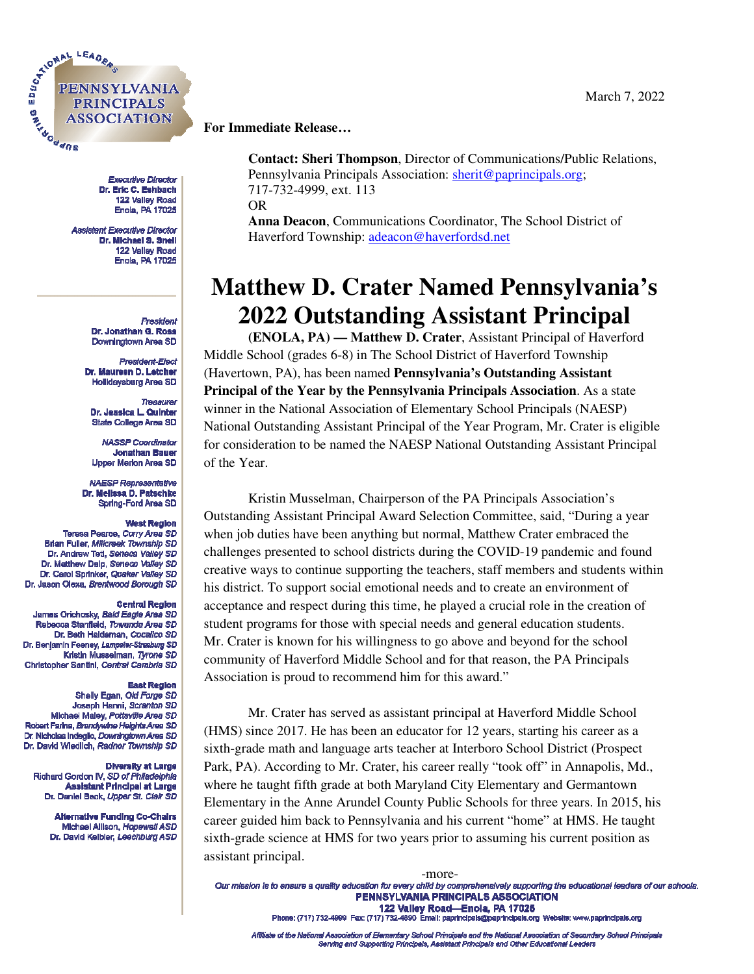

**Executive Director** Dr. Eric C. Eshbach 122 Valley Road Enola, PA 17025

**Assistant Executive Director** Dr. Michael S. Snell 122 Valley Road Enola, PA 17025

> President Dr. Jonathan G. Ross Downingtown Area SD

President-Elect Dr. Maureen D. Letcher Hollidaysburg Area SD

Treasurer Dr. Jessica L. Quinter State College Area SD

**NASSP Coordinator Jonathan Bauer Upper Merion Area SD** 

**NAESP Representative** Dr. Mellssa D. Patschke Spring-Ford Area SD

#### **West Region**

Teresa Pearce, Corry Area SD Brian Fuller, Millcreek Township SD Dr. Andrew Teti, Seneca Valley SD Dr. Matthew Delp, Seneca Valley SD Dr. Carol Sprinker, Quaker Valley SD Dr. Jason Olexa, Brentwood Borough SD

### **Central Region**

James Orichosky, Bald Eagle Area SD Rebecca Stanfield, Towanda Area SD Dr. Beth Haldeman, Cocalico SD Dr. Benjamin Feeney, Lampeter-Strasburg SD Kristin Musselman, Tyrone SD Christopher Santini, Central Cambria SD

### **East Region**

Shelly Egan, Old Forge SD Joseph Hanni, Scranton SD Michael Maley, Pottsville Area SD Robert Farina, Brandywine Helghts Area SD Dr. Nicholas Indeglio, Downingtown Area SD Dr. David Wiedlich, Radnor Township SD

#### **Diversity at Large**

Richard Gordon IV, SD of Philadelphia **Assistant Principal at Large** Dr. Daniel Beck. Upper St. Clair SD

> **Alternative Funding Co-Chairs** Michael Allison, Hopewell ASD Dr. David Keibler, Leechburg ASD

# **For Immediate Release…**

**Contact: Sheri Thompson**, Director of Communications/Public Relations, Pennsylvania Principals Association: sherit@paprincipals.org; 717-732-4999, ext. 113 OR **Anna Deacon**, Communications Coordinator, The School District of Haverford Township: adeacon@haverfordsd.net

**Matthew D. Crater Named Pennsylvania's 2022 Outstanding Assistant Principal**

 **(ENOLA, PA) — Matthew D. Crater**, Assistant Principal of Haverford Middle School (grades 6-8) in The School District of Haverford Township (Havertown, PA), has been named **Pennsylvania's Outstanding Assistant Principal of the Year by the Pennsylvania Principals Association**. As a state winner in the National Association of Elementary School Principals (NAESP) National Outstanding Assistant Principal of the Year Program, Mr. Crater is eligible for consideration to be named the NAESP National Outstanding Assistant Principal of the Year.

Kristin Musselman, Chairperson of the PA Principals Association's Outstanding Assistant Principal Award Selection Committee, said, "During a year when job duties have been anything but normal, Matthew Crater embraced the challenges presented to school districts during the COVID-19 pandemic and found creative ways to continue supporting the teachers, staff members and students within his district. To support social emotional needs and to create an environment of acceptance and respect during this time, he played a crucial role in the creation of student programs for those with special needs and general education students. Mr. Crater is known for his willingness to go above and beyond for the school community of Haverford Middle School and for that reason, the PA Principals Association is proud to recommend him for this award."

Mr. Crater has served as assistant principal at Haverford Middle School (HMS) since 2017. He has been an educator for 12 years, starting his career as a sixth-grade math and language arts teacher at Interboro School District (Prospect Park, PA). According to Mr. Crater, his career really "took off" in Annapolis, Md., where he taught fifth grade at both Maryland City Elementary and Germantown Elementary in the Anne Arundel County Public Schools for three years. In 2015, his career guided him back to Pennsylvania and his current "home" at HMS. He taught sixth-grade science at HMS for two years prior to assuming his current position as assistant principal.

-more-<br>Our mission is to ensure a quality education for every child by comprehensively supporting the educational leaders of our schools. PENNSYLVANIA PRINCIPALS ASSOCIATION 122 Valley Road-Enola, PA 17025

Phone: (717) 732-4999 Fax: (717) 732-4890 Email: paprincipals@paprincipals.org Website: www.paprincipals.org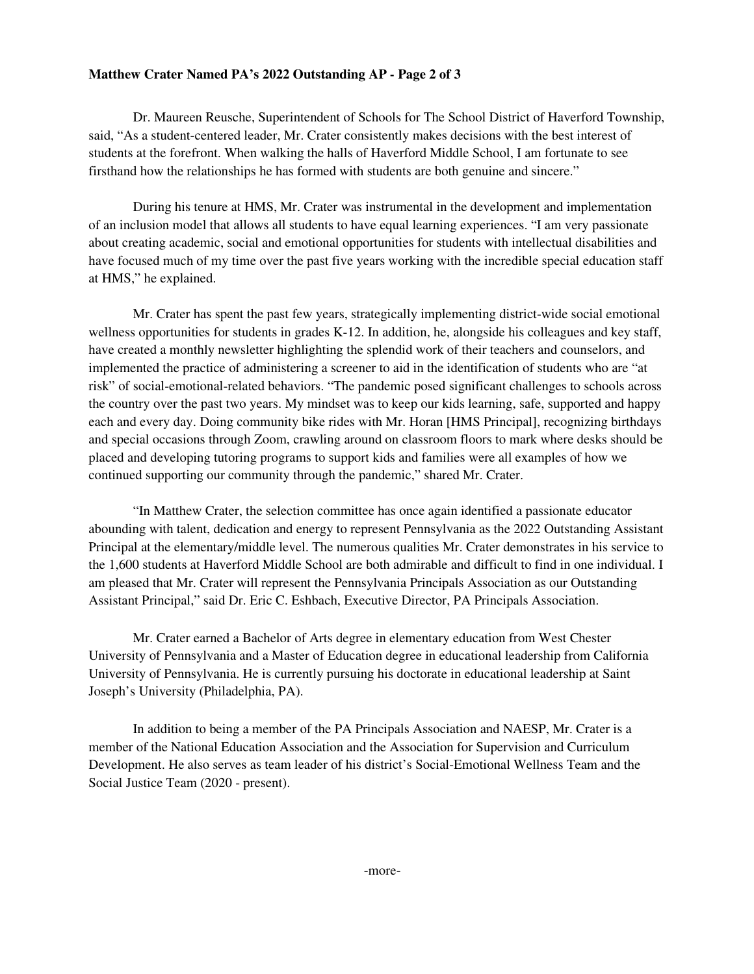## **Matthew Crater Named PA's 2022 Outstanding AP - Page 2 of 3**

Dr. Maureen Reusche, Superintendent of Schools for The School District of Haverford Township, said, "As a student-centered leader, Mr. Crater consistently makes decisions with the best interest of students at the forefront. When walking the halls of Haverford Middle School, I am fortunate to see firsthand how the relationships he has formed with students are both genuine and sincere."

During his tenure at HMS, Mr. Crater was instrumental in the development and implementation of an inclusion model that allows all students to have equal learning experiences. "I am very passionate about creating academic, social and emotional opportunities for students with intellectual disabilities and have focused much of my time over the past five years working with the incredible special education staff at HMS," he explained.

Mr. Crater has spent the past few years, strategically implementing district-wide social emotional wellness opportunities for students in grades K-12. In addition, he, alongside his colleagues and key staff, have created a monthly newsletter highlighting the splendid work of their teachers and counselors, and implemented the practice of administering a screener to aid in the identification of students who are "at risk" of social-emotional-related behaviors. "The pandemic posed significant challenges to schools across the country over the past two years. My mindset was to keep our kids learning, safe, supported and happy each and every day. Doing community bike rides with Mr. Horan [HMS Principal], recognizing birthdays and special occasions through Zoom, crawling around on classroom floors to mark where desks should be placed and developing tutoring programs to support kids and families were all examples of how we continued supporting our community through the pandemic," shared Mr. Crater.

"In Matthew Crater, the selection committee has once again identified a passionate educator abounding with talent, dedication and energy to represent Pennsylvania as the 2022 Outstanding Assistant Principal at the elementary/middle level. The numerous qualities Mr. Crater demonstrates in his service to the 1,600 students at Haverford Middle School are both admirable and difficult to find in one individual. I am pleased that Mr. Crater will represent the Pennsylvania Principals Association as our Outstanding Assistant Principal," said Dr. Eric C. Eshbach, Executive Director, PA Principals Association.

Mr. Crater earned a Bachelor of Arts degree in elementary education from West Chester University of Pennsylvania and a Master of Education degree in educational leadership from California University of Pennsylvania. He is currently pursuing his doctorate in educational leadership at Saint Joseph's University (Philadelphia, PA).

In addition to being a member of the PA Principals Association and NAESP, Mr. Crater is a member of the National Education Association and the Association for Supervision and Curriculum Development. He also serves as team leader of his district's Social-Emotional Wellness Team and the Social Justice Team (2020 - present).